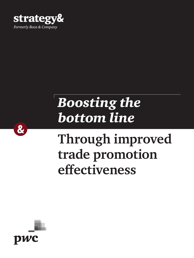

# *Boosting the bottom line*

## **Through improved trade promotion effectiveness**



 $\boldsymbol{\alpha}$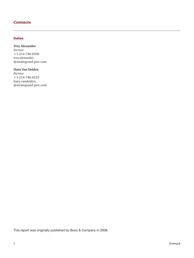#### *Contacts*

#### Dallas

#### **Trey Alexander**

*Partner* +1-214-746-6506 [trey.alexander](mailto:trey.alexander%40strategyand.pwc.com?subject=) [@strategyand.pwc.com](mailto:trey.alexander%40strategyand.pwc.com?subject=)

#### **Hans Van Delden**

*Partner* +1-214-746-6523 [hans.vandelden](mailto:hans.vandelden%40strategyand.pwc.com?subject=) [@strategyand.pwc.com](mailto:hans.vandelden%40strategyand.pwc.com?subject=)

This report was originally published by Booz & Company in 2008.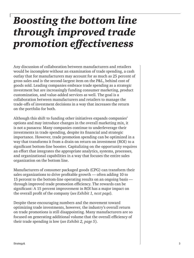### *Boosting the bottom line through improved trade promotion effectiveness*

Any discussion of collaboration between manufacturers and retailers would be incomplete without an examination of trade spending, a cash outlay that for manufacturers may account for as much as 25 percent of gross sales and is the second-largest item on the P&L, behind cost of goods sold. Leading companies embrace trade spending as a strategic investment but are increasingly funding consumer marketing, product customization, and value-added services as well. The goal is a collaboration between manufacturers and retailers to manage the trade-offs of investment decisions in a way that increases the return on the portfolio for both.

Although this shift to funding other initiatives expands companies' options and may introduce changes in the overall marketing mix, it is not a panacea: Many companies continue to underleverage their investments in trade spending, despite its financial and strategic importance. However, trade promotion spending can be optimized in a way that transforms it from a drain on return on investment (ROI) to a significant bottom-line booster. Capitalizing on the opportunity requires an effort that integrates the appropriate analytics, systems, processes, and organizational capabilities in a way that focuses the entire sales organization on the bottom line.

Manufacturers of consumer packaged goods (CPG) can transform their sales organizations to drive profitable growth — often adding 10 to 15 percent to the bottom-line operating results on an ongoing basis through improved trade promotion efficiency. The rewards can be significant: A 15 percent improvement in ROI has a major impact on the overall profit of the company (*see Exhibit 1, next page*).

Despite these encouraging numbers and the movement toward optimizing trade investments, however, the industry's overall return on trade promotions is still disappointing. Many manufacturers are so focused on generating additional volume that the overall efficiency of their trade spending is low (*see Exhibit 2, page 5*).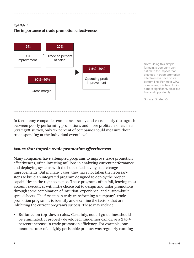#### *Exhibit 1* **The importance of trade promotion effectiveness**



Note: Using this simple formula, a company can estimate the impact that changes in trade promotion effectiveness have on its bottom line. For most CPG companies, it is hard to find a more significant, clear-cut financial opportunity.

Source: Strategy&

In fact, many companies cannot accurately and consistently distinguish between poorly performing promotions and more profitable ones. In a Strategy& survey, only 22 percent of companies could measure their trade spending at the individual event level.

#### *Issues that impede trade promotion effectiveness*

Many companies have attempted programs to improve trade promotion effectiveness, often investing millions in analyzing current performance and deploying systems with the hope of achieving step-change improvements. But in many cases, they have not taken the necessary steps to build an integrated program designed to deploy the proper capabilities in the right sequence. These programs often fail, leaving most account executives with little choice but to design and tailor promotions through some combination of intuition, experience, and custom-built spreadsheets. The first step in truly transforming a company's trade promotion program is to identify and examine the factors that are inhibiting the current program's success. These may include:

• **Reliance on top-down rules.** Certainly, not all guidelines should be eliminated: If properly developed, guidelines can drive a 2 to 4 percent increase in trade promotion efficiency. For example, one manufacturer of a highly perishable product was regularly running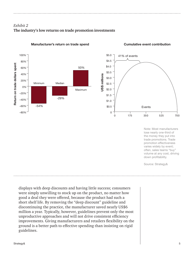### *Exhibit 2* **The industry's low returns on trade promotion investments**



#### Manufacturer's return on trade spend Cumulative event contribution



Note: Most manufacturers lose nearly one-third of the money they put into trade promotions. Trade promotion effectiveness varies widely by event; often, sales teams "buy" volume at any cost, driving down profitability.

Source: Strategy&

displays with deep discounts and having little success; consumers were simply unwilling to stock up on the product, no matter how good a deal they were offered, because the product had such a short shelf life. By removing the "deep discount" guideline and discontinuing the practice, the manufacturer saved nearly US\$6 million a year. Typically, however, guidelines prevent only the most unproductive approaches and will not drive consistent efficiency improvements. Giving manufacturers and retailers flexibility on the ground is a better path to effective spending than insisting on rigid guidelines.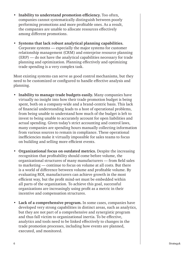- **Inability to understand promotion efficiency.** Too often, companies cannot systematically distinguish between poorly performing promotions and more profitable ones. As a result, the companies are unable to allocate resources effectively among different promotions.
- **Systems that lack robust analytical planning capabilities.** Corporate systems — especially the major systems for customer relationship management (CRM) and enterprise resource planning (ERP) — do not have the analytical capabilities necessary for trade planning and optimization. Planning effectively and optimizing trade spending is a very complex task.

Most existing systems can serve as good control mechanisms, but they need to be customized or configured to handle effective analysis and planning.

- **Inability to manage trade budgets easily.** Many companies have virtually no insight into how their trade promotion budget is being spent, both on a company-wide and a brand-centric basis. This lack of financial understanding leads to a host of operational problems, from being unable to understand how much of the budget is left to invest to being unable to accurately account for open liabilities and actual spending. Given today's strict accounting and control laws, many companies are spending hours manually collecting information from various sources to remain in compliance. These operational inefficiencies make it virtually impossible for sales teams to focus on building and selling more efficient events.
- **Organizational focus on outdated metrics.** Despite the increasing recognition that profitability should come before volume, the organizational structures of many manufacturers — from field sales to marketing — continue to focus on volume at all costs. But there is a world of difference between volume and profitable volume. By evaluating ROI, manufacturers can achieve growth in the most efficient way, but the profit mind-set must be embedded within all parts of the organization. To achieve this goal, successful organizations are increasingly using profit as a metric in their incentive and compensation structures.
- **Lack of a comprehensive program.** In some cases, companies have developed very strong capabilities in distinct areas, such as analytics, but they are not part of a comprehensive and synergistic program and thus fall victim to organizational inertia. To be effective, analytics and tools need to be linked effectively to changes in the trade promotion processes, including how events are planned, executed, and monitored.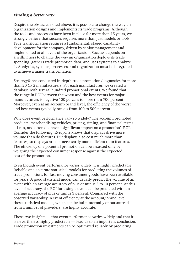#### *Finding a better way*

Despite the obstacles noted above, it is possible to change the way an organization designs and implements its trade programs. Although the tools and processes have been in place for more than 15 years, we strongly believe that success requires more than just models or tools. True transformation requires a fundamental, staged capability development for the company, driven by senior management and implemented at all levels of the organization. Success depends on a willingness to change the way an organization deploys its trade spending, gathers trade promotion data, and uses systems to analyze it. Analytics, systems, processes, and organization must be integrated to achieve a major transformation.

Strategy& has conducted in-depth trade promotion diagnostics for more than 20 CPG manufacturers. For each manufacturer, we created a database with several hundred promotional events. We found that the range in ROI between the worst and the best events for major manufacturers is negative 100 percent to more than 700 percent. Moreover, even at an account/brand level, the efficiency of the worst and best events typically ranges from 100 to 500 percent.

Why does event performance vary so widely? The account, promoted products, merchandising vehicles, pricing, timing, and financial terms all can, and often do, have a significant impact on a promotion's ROI. Consider the following: Everyone knows that displays drive more volume than do features. But displays also cost much more than features, so displays are not necessarily more efficient than features. The efficiency of a potential promotion can be assessed only by weighing the expected consumer response against the expected cost of the promotion.

Even though event performance varies widely, it is highly predictable. Reliable and accurate statistical models for predicting the volumes of trade promotions for fast-moving consumer goods have been available for years. A good statistical model can usually predict the volume of an event with an average accuracy of plus or minus 5 to 10 percent. At this level of accuracy, the ROI for a single event can be predicted with an average accuracy of plus or minus 3 percent. Compared with the observed variability in event efficiency at the account/brand level, these statistical models, which can be built internally or outsourced from a number of providers, are highly accurate.

These two insights — that event performance varies widely and that it is nevertheless highly predictable — lead us to an important conclusion: Trade promotion investments can be optimized reliably by predicting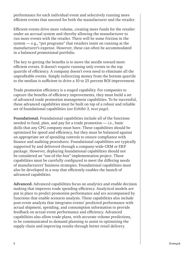performance for each individual event and selectively running more efficient events that succeed for both the manufacturer and the retailer.

Efficient events drive more volume, creating more funds for the retailer under an accrual system and thereby allowing the manufacturer to run more events with the retailer. There will be some friction in the system — e.g., "pet programs" that retailers insist on running at the manufacturer's expense. However, these can often be accommodated in a balanced promotional portfolio.

The key to getting the benefits is to move the needle toward more efficient events. It doesn't require running only events in the top quartile of efficiency. A company doesn't even need to eliminate all the unprofitable events. Simply redirecting money from the bottom quartile to the median is sufficient to drive a 10 to 25 percent ROI improvement.

Trade promotion efficiency is a staged capability. For companies to capture the benefits of efficiency improvements, they must build a set of advanced trade promotion management capabilities. To be successful, these advanced capabilities must be built on top of a robust and reliable set of foundational capabilities (*see Exhibit 3, next page*).

**Foundational.** Foundational capabilities include all of the functions needed to fund, plan, and pay for a trade promotion — i.e., basic skills that any CPG company must have. These capabilities should be optimized for speed and efficiency, but they must be balanced against an appropriate set of spending controls to ensure compliance with finance and auditing procedures. Foundational capabilities are typically supported by and delivered through a company-wide CRM or ERP package. However, deploying foundational capabilities should not be considered an "out-of-the-box" implementation project. These capabilities must be carefully configured to meet the differing needs of manufacturers' business strategies. Foundational capabilities must also be developed in a way that efficiently enables the launch of advanced capabilities.

**Advanced.** Advanced capabilities focus on analytics and enable decision making that improves trade spending efficiency. Analytical models are put in place to predict promotion performance and are accompanied by functions that enable scenario analysis. These capabilities also include post-event analysis that integrates events' predicted performance with actual shipment, spending, and consumption information to provide feedback on actual event performance and efficiency. Advanced capabilities also allow trade plans, with accurate volume predictions, to be communicated to demand planning to assist in optimizing the supply chain and improving results through better retail delivery.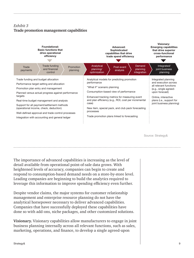#### *Exhibit 3* **Trade promotion management capabilities**



Source: Strategy&

The importance of advanced capabilities is increasing as the level of detail available from operational point-of-sale data grows. With heightened levels of accuracy, companies can begin to create and respond to consumption-based demand needs on a store-by-store level. Leading companies are beginning to build the analytics required to leverage this information to improve spending efficiency even further.

Despite vendor claims, the major systems for customer relationship management and enterprise resource planning do not have the analytical horsepower necessary to deliver advanced capabilities. Companies that have successfully deployed these capabilities have done so with add-ons, niche packages, and other customized solutions.

**Visionary.** Visionary capabilities allow manufacturers to engage in joint business planning internally across all relevant functions, such as sales, marketing, operations, and finance, to develop a single agreed-upon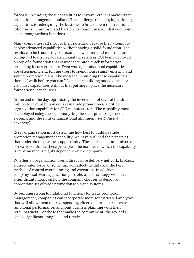forecast. Extending these capabilities to involve retailers makes trade promotion management holistic. The challenge of deploying visionary capabilities is redesigning the business to break down the traditional differences in mind-set and barriers to communication that commonly exist among various functions.

Many companies fall short of their potential because they attempt to deploy advanced capabilities without having a solid foundation. The results can be frustrating. For example, we often find tools that are configured to display advanced analytics such as ROI being deployed on top of a foundation that cannot accurately track information, producing incorrect results. Even worse, foundational capabilities are often inefficient, forcing users to spend hours simply entering and saving promotion plans. The message in building these capabilities, then, is "walk before you run." Don't start building out advanced or visionary capabilities without first putting in place the necessary foundational capabilities.

At the end of the day, optimizing the investment of several hundred million to several billion dollars in trade promotion is a critical organization capability for CPG manufacturers. The capability must be deployed using the right analytics, the right processes, the right systems, and the right organizational alignment (*see Exhibit 4, next page*).

Every organization must determine how best to build its trade promotion management capability. We have outlined the principles that underpin the business opportunity. These principles are universal, or nearly so. Unlike these principles, the manner in which the capability is implemented is highly dependent on the company.

Whether an organization uses a direct store delivery network, brokers, a direct sales force, or some mix will affect the data and the best method of control over planning and execution. In addition, a company's software application portfolio and IT strategy will have a significant impact on how the company chooses to deploy an appropriate set of trade promotion tools and systems.

By building strong foundational functions for trade promotion management, companies can incorporate more sophisticated analytics that will allow them to drive spending effectiveness, superior crossfunctional performance, and joint business planning with their retail partners. For those that make the commitment, the rewards can be significant, tangible, and timely.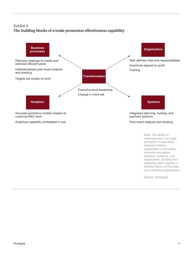### *Exhibit 4* **The building blocks of a trade promotion effectiveness capability**